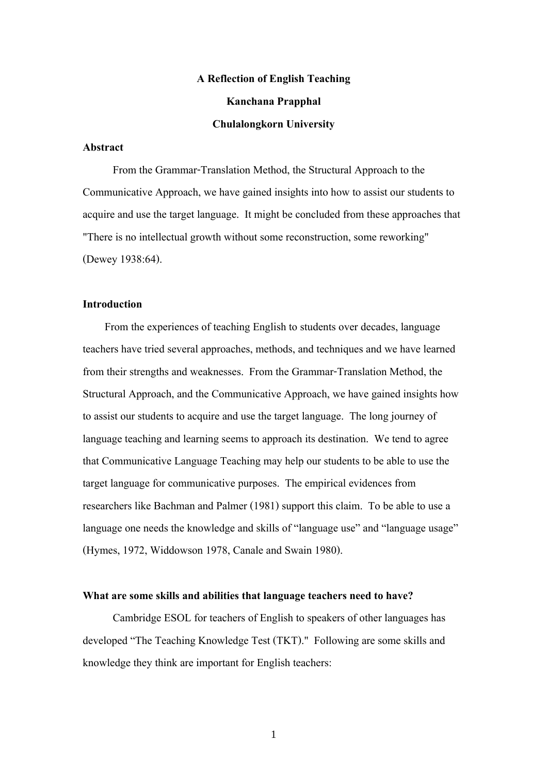# **A Reflection of English Teaching**

## **Kanchana Prapphal**

## **Chulalongkorn University**

# **Abstract**

 From the Grammar-Translation Method, the Structural Approach to the Communicative Approach, we have gained insights into how to assist our students to acquire and use the target language. It might be concluded from these approaches that "There is no intellectual growth without some reconstruction, some reworking" (Dewey 1938:64).

# **Introduction**

 From the experiences of teaching English to students over decades, language teachers have tried several approaches, methods, and techniques and we have learned from their strengths and weaknesses. From the Grammar-Translation Method, the Structural Approach, and the Communicative Approach, we have gained insights how to assist our students to acquire and use the target language. The long journey of language teaching and learning seems to approach its destination. We tend to agree that Communicative Language Teaching may help our students to be able to use the target language for communicative purposes. The empirical evidences from researchers like Bachman and Palmer (1981) support this claim. To be able to use a language one needs the knowledge and skills of "language use" and "language usage" (Hymes, 1972, Widdowson 1978, Canale and Swain 1980).

#### **What are some skills and abilities that language teachers need to have?**

 Cambridge ESOL for teachers of English to speakers of other languages has developed "The Teaching Knowledge Test (TKT)." Following are some skills and knowledge they think are important for English teachers: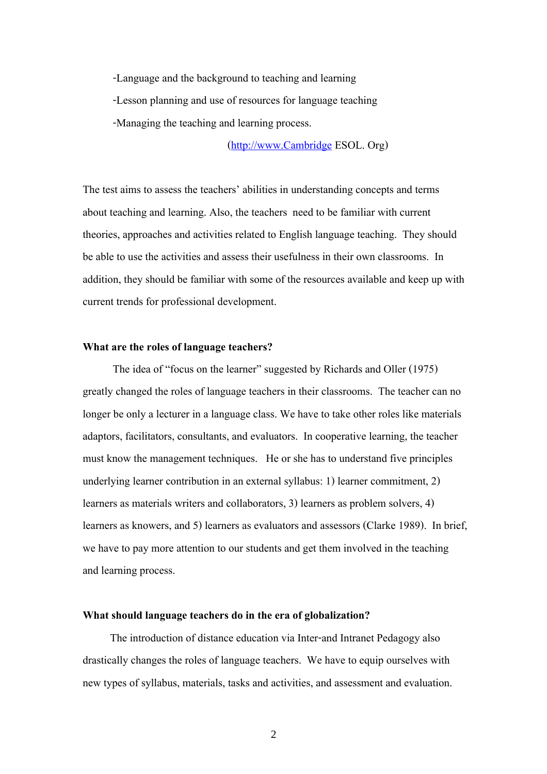-Language and the background to teaching and learning -Lesson planning and use of resources for language teaching -Managing the teaching and learning process.

(http://www.Cambridge ESOL. Org)

The test aims to assess the teachers' abilities in understanding concepts and terms about teaching and learning. Also, the teachers need to be familiar with current theories, approaches and activities related to English language teaching. They should be able to use the activities and assess their usefulness in their own classrooms. In addition, they should be familiar with some of the resources available and keep up with current trends for professional development.

# **What are the roles of language teachers?**

 The idea of "focus on the learner" suggested by Richards and Oller (1975) greatly changed the roles of language teachers in their classrooms. The teacher can no longer be only a lecturer in a language class. We have to take other roles like materials adaptors, facilitators, consultants, and evaluators. In cooperative learning, the teacher must know the management techniques. He or she has to understand five principles underlying learner contribution in an external syllabus: 1) learner commitment, 2) learners as materials writers and collaborators, 3) learners as problem solvers, 4) learners as knowers, and 5) learners as evaluators and assessors (Clarke 1989). In brief, we have to pay more attention to our students and get them involved in the teaching and learning process.

#### **What should language teachers do in the era of globalization?**

 The introduction of distance education via Inter-and Intranet Pedagogy also drastically changes the roles of language teachers. We have to equip ourselves with new types of syllabus, materials, tasks and activities, and assessment and evaluation.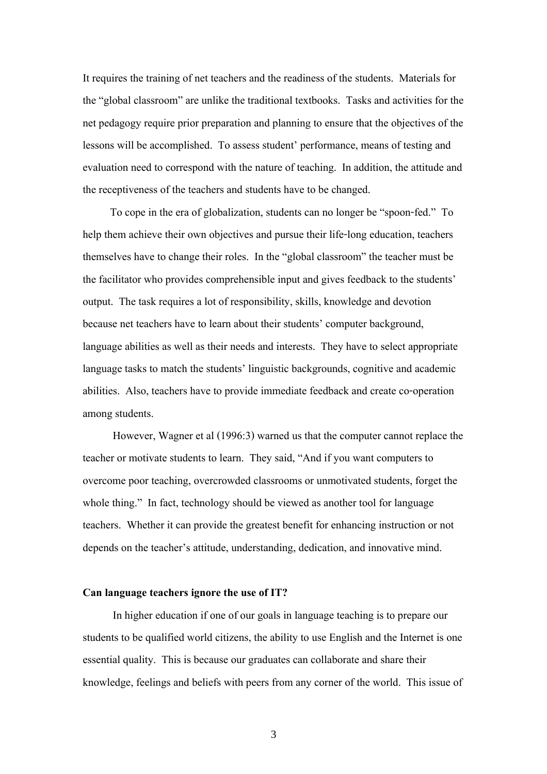It requires the training of net teachers and the readiness of the students. Materials for the "global classroom" are unlike the traditional textbooks. Tasks and activities for the net pedagogy require prior preparation and planning to ensure that the objectives of the lessons will be accomplished. To assess student' performance, means of testing and evaluation need to correspond with the nature of teaching. In addition, the attitude and the receptiveness of the teachers and students have to be changed.

 To cope in the era of globalization, students can no longer be "spoon-fed." To help them achieve their own objectives and pursue their life-long education, teachers themselves have to change their roles. In the "global classroom" the teacher must be the facilitator who provides comprehensible input and gives feedback to the students' output. The task requires a lot of responsibility, skills, knowledge and devotion because net teachers have to learn about their students' computer background, language abilities as well as their needs and interests. They have to select appropriate language tasks to match the students' linguistic backgrounds, cognitive and academic abilities. Also, teachers have to provide immediate feedback and create co-operation among students.

 However, Wagner et al (1996:3) warned us that the computer cannot replace the teacher or motivate students to learn. They said, "And if you want computers to overcome poor teaching, overcrowded classrooms or unmotivated students, forget the whole thing." In fact, technology should be viewed as another tool for language teachers. Whether it can provide the greatest benefit for enhancing instruction or not depends on the teacher's attitude, understanding, dedication, and innovative mind.

#### **Can language teachers ignore the use of IT?**

 In higher education if one of our goals in language teaching is to prepare our students to be qualified world citizens, the ability to use English and the Internet is one essential quality. This is because our graduates can collaborate and share their knowledge, feelings and beliefs with peers from any corner of the world. This issue of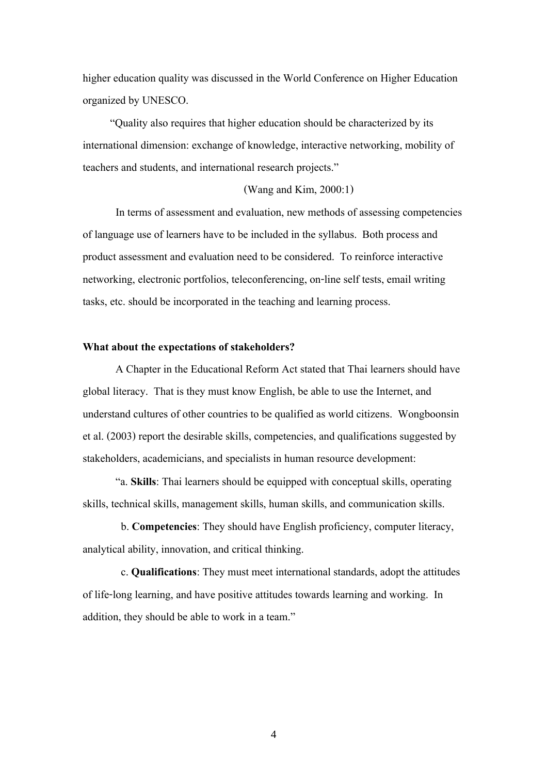higher education quality was discussed in the World Conference on Higher Education organized by UNESCO.

 "Quality also requires that higher education should be characterized by its international dimension: exchange of knowledge, interactive networking, mobility of teachers and students, and international research projects."

# (Wang and Kim, 2000:1)

 In terms of assessment and evaluation, new methods of assessing competencies of language use of learners have to be included in the syllabus. Both process and product assessment and evaluation need to be considered. To reinforce interactive networking, electronic portfolios, teleconferencing, on-line self tests, email writing tasks, etc. should be incorporated in the teaching and learning process.

## **What about the expectations of stakeholders?**

 A Chapter in the Educational Reform Act stated that Thai learners should have global literacy. That is they must know English, be able to use the Internet, and understand cultures of other countries to be qualified as world citizens. Wongboonsin et al. (2003) report the desirable skills, competencies, and qualifications suggested by stakeholders, academicians, and specialists in human resource development:

 "a. **Skills**: Thai learners should be equipped with conceptual skills, operating skills, technical skills, management skills, human skills, and communication skills.

 b. **Competencies**: They should have English proficiency, computer literacy, analytical ability, innovation, and critical thinking.

 c. **Qualifications**: They must meet international standards, adopt the attitudes of life-long learning, and have positive attitudes towards learning and working. In addition, they should be able to work in a team."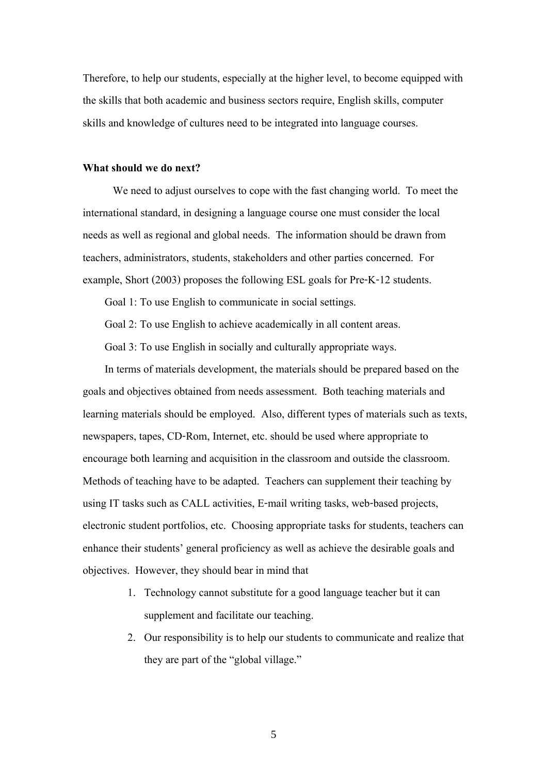Therefore, to help our students, especially at the higher level, to become equipped with the skills that both academic and business sectors require, English skills, computer skills and knowledge of cultures need to be integrated into language courses.

## **What should we do next?**

We need to adjust ourselves to cope with the fast changing world. To meet the international standard, in designing a language course one must consider the local needs as well as regional and global needs. The information should be drawn from teachers, administrators, students, stakeholders and other parties concerned. For example, Short (2003) proposes the following ESL goals for Pre-K-12 students.

Goal 1: To use English to communicate in social settings.

Goal 2: To use English to achieve academically in all content areas.

Goal 3: To use English in socially and culturally appropriate ways.

 In terms of materials development, the materials should be prepared based on the goals and objectives obtained from needs assessment. Both teaching materials and learning materials should be employed. Also, different types of materials such as texts, newspapers, tapes, CD-Rom, Internet, etc. should be used where appropriate to encourage both learning and acquisition in the classroom and outside the classroom. Methods of teaching have to be adapted. Teachers can supplement their teaching by using IT tasks such as CALL activities, E-mail writing tasks, web-based projects, electronic student portfolios, etc. Choosing appropriate tasks for students, teachers can enhance their students' general proficiency as well as achieve the desirable goals and objectives. However, they should bear in mind that

- 1. Technology cannot substitute for a good language teacher but it can supplement and facilitate our teaching.
- 2. Our responsibility is to help our students to communicate and realize that they are part of the "global village."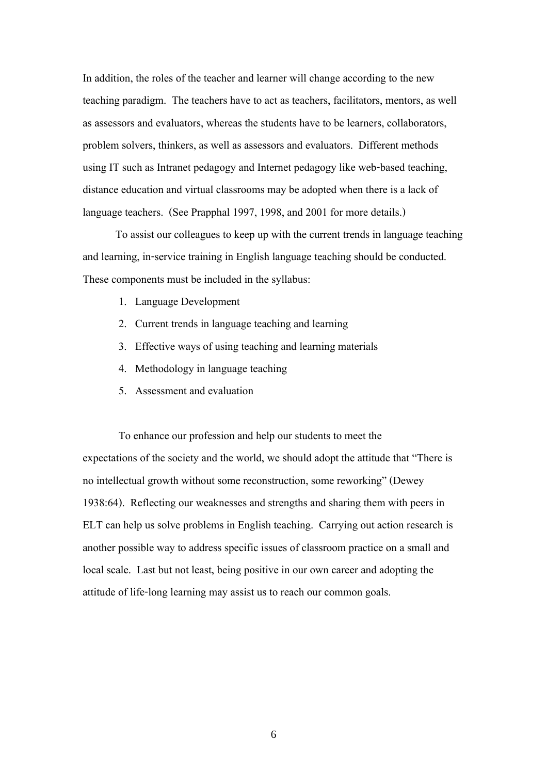In addition, the roles of the teacher and learner will change according to the new teaching paradigm. The teachers have to act as teachers, facilitators, mentors, as well as assessors and evaluators, whereas the students have to be learners, collaborators, problem solvers, thinkers, as well as assessors and evaluators. Different methods using IT such as Intranet pedagogy and Internet pedagogy like web-based teaching, distance education and virtual classrooms may be adopted when there is a lack of language teachers. (See Prapphal 1997, 1998, and 2001 for more details.)

 To assist our colleagues to keep up with the current trends in language teaching and learning, in-service training in English language teaching should be conducted. These components must be included in the syllabus:

- 1. Language Development
- 2. Current trends in language teaching and learning
- 3. Effective ways of using teaching and learning materials
- 4. Methodology in language teaching
- 5. Assessment and evaluation

To enhance our profession and help our students to meet the expectations of the society and the world, we should adopt the attitude that "There is no intellectual growth without some reconstruction, some reworking" (Dewey 1938:64). Reflecting our weaknesses and strengths and sharing them with peers in ELT can help us solve problems in English teaching. Carrying out action research is another possible way to address specific issues of classroom practice on a small and local scale. Last but not least, being positive in our own career and adopting the attitude of life-long learning may assist us to reach our common goals.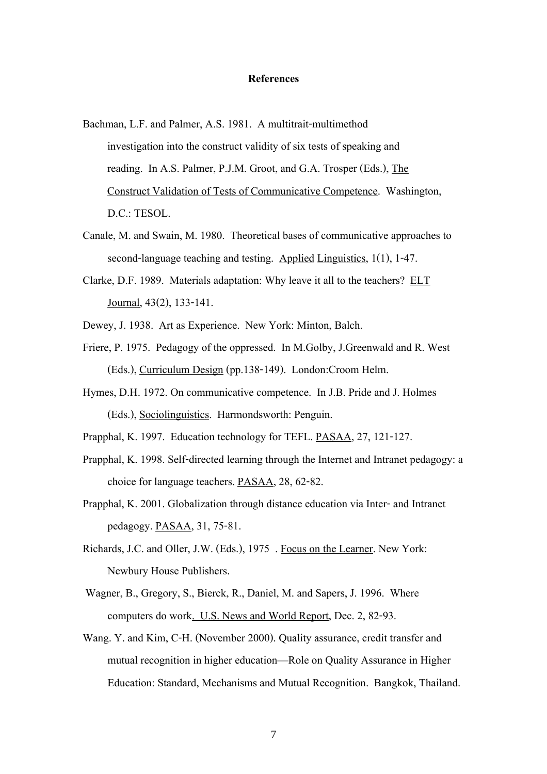## **References**

- Bachman, L.F. and Palmer, A.S. 1981. A multitrait-multimethod investigation into the construct validity of six tests of speaking and reading. In A.S. Palmer, P.J.M. Groot, and G.A. Trosper (Eds.), The Construct Validation of Tests of Communicative Competence. Washington, D.C.: TESOL.
- Canale, M. and Swain, M. 1980. Theoretical bases of communicative approaches to second-language teaching and testing. Applied Linguistics, 1(1), 1-47.
- Clarke, D.F. 1989. Materials adaptation: Why leave it all to the teachers? ELT Journal, 43(2), 133-141.
- Dewey, J. 1938. Art as Experience. New York: Minton, Balch.
- Friere, P. 1975. Pedagogy of the oppressed. In M.Golby, J.Greenwald and R. West (Eds.), Curriculum Design (pp.138-149). London:Croom Helm.
- Hymes, D.H. 1972. On communicative competence. In J.B. Pride and J. Holmes (Eds.), Sociolinguistics. Harmondsworth: Penguin.
- Prapphal, K. 1997. Education technology for TEFL. PASAA, 27, 121-127.
- Prapphal, K. 1998. Self-directed learning through the Internet and Intranet pedagogy: a choice for language teachers. PASAA, 28, 62-82.
- Prapphal, K. 2001. Globalization through distance education via Inter- and Intranet pedagogy. PASAA, 31, 75-81.
- Richards, J.C. and Oller, J.W. (Eds.), 1975 . Focus on the Learner. New York: Newbury House Publishers.
- Wagner, B., Gregory, S., Bierck, R., Daniel, M. and Sapers, J. 1996. Where computers do work. U.S. News and World Report, Dec. 2, 82-93.
- Wang. Y. and Kim, C-H. (November 2000). Quality assurance, credit transfer and mutual recognition in higher education—Role on Quality Assurance in Higher Education: Standard, Mechanisms and Mutual Recognition. Bangkok, Thailand.